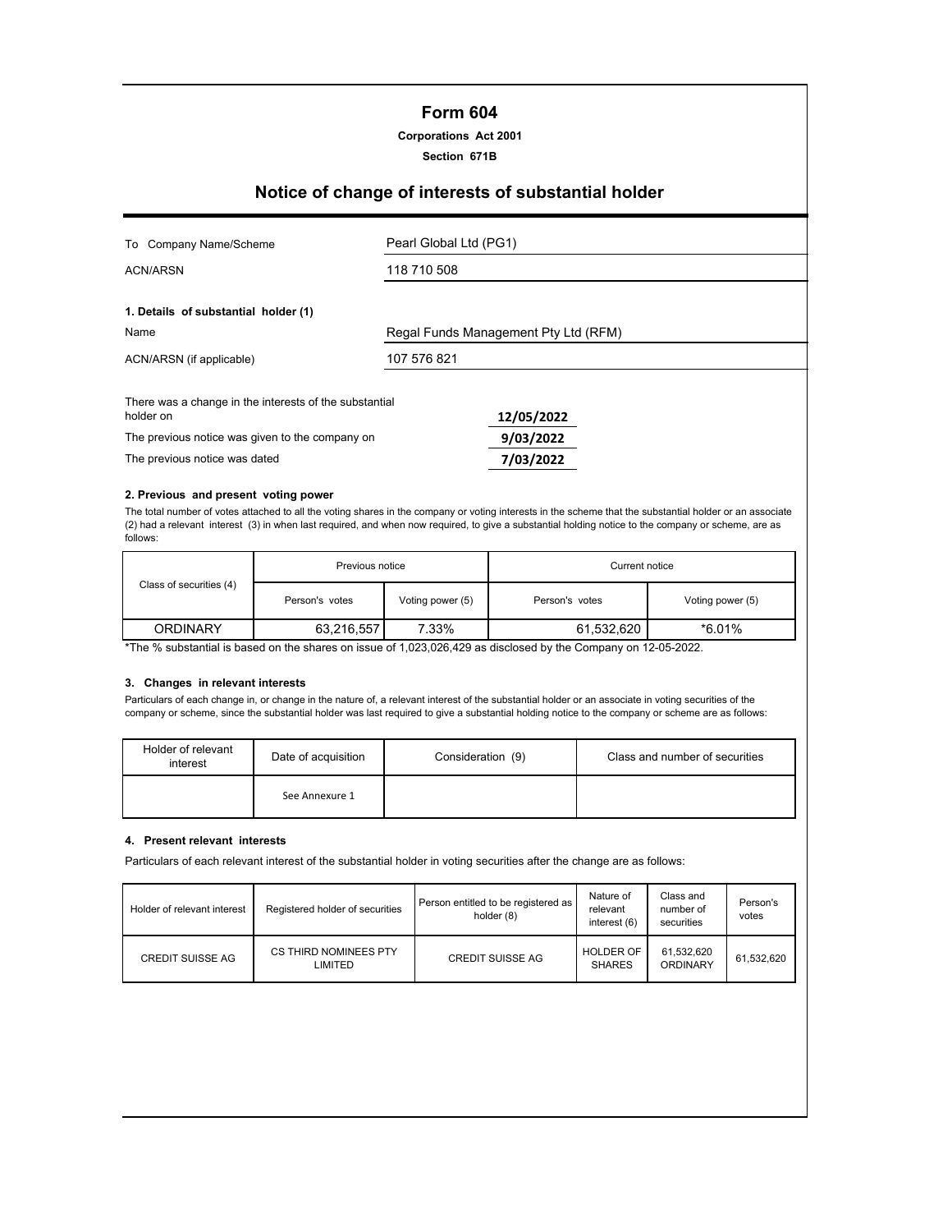## **Form 604**

## **Section 671B**

# **Notice of change of interests of substantial holder**

| To Company Name/Scheme                                              | Pearl Global Ltd (PG1)               |  |  |  |
|---------------------------------------------------------------------|--------------------------------------|--|--|--|
| ACN/ARSN                                                            | 118 710 508                          |  |  |  |
| 1. Details of substantial holder (1)                                |                                      |  |  |  |
| Name                                                                | Regal Funds Management Pty Ltd (RFM) |  |  |  |
| ACN/ARSN (if applicable)                                            | 107 576 821                          |  |  |  |
| There was a change in the interests of the substantial<br>holder on | 12/05/2022                           |  |  |  |
| The previous notice was given to the company on                     | 9/03/2022                            |  |  |  |
| The previous notice was dated                                       | 7/03/2022                            |  |  |  |

#### **2. Previous and present voting power**

The total number of votes attached to all the voting shares in the company or voting interests in the scheme that the substantial holder or an associate (2) had a relevant interest (3) in when last required, and when now required, to give a substantial holding notice to the company or scheme, are as follows:

|                         | Previous notice |                  | Current notice |                  |  |
|-------------------------|-----------------|------------------|----------------|------------------|--|
| Class of securities (4) | Person's votes  | Voting power (5) | Person's votes | Voting power (5) |  |
| ORDINARY                | 63,216,557      | 7.33%            | 61,532,620     | $*6.01%$         |  |

\*The % substantial is based on the shares on issue of 1,023,026,429 as disclosed by the Company on 12-05-2022.

## **3. Changes in relevant interests**

Particulars of each change in, or change in the nature of, a relevant interest of the substantial holder or an associate in voting securities of the company or scheme, since the substantial holder was last required to give a substantial holding notice to the company or scheme are as follows:

| Holder of relevant<br>interest | Date of acquisition | Consideration (9) | Class and number of securities |
|--------------------------------|---------------------|-------------------|--------------------------------|
|                                | See Annexure 1      |                   |                                |

#### **4. Present relevant interests**

Particulars of each relevant interest of the substantial holder in voting securities after the change are as follows:

| Holder of relevant interest | Registered holder of securities  | Person entitled to be registered as<br>holder (8) | Nature of<br>relevant<br>interest (6) | Class and<br>number of<br>securities | Person's<br>votes |
|-----------------------------|----------------------------------|---------------------------------------------------|---------------------------------------|--------------------------------------|-------------------|
| <b>CREDIT SUISSE AG</b>     | CS THIRD NOMINEES PTY<br>LIMITED | <b>CREDIT SUISSE AG</b>                           | <b>HOLDER OF</b><br><b>SHARES</b>     | 61.532.620<br>ORDINARY               | 61.532.620        |